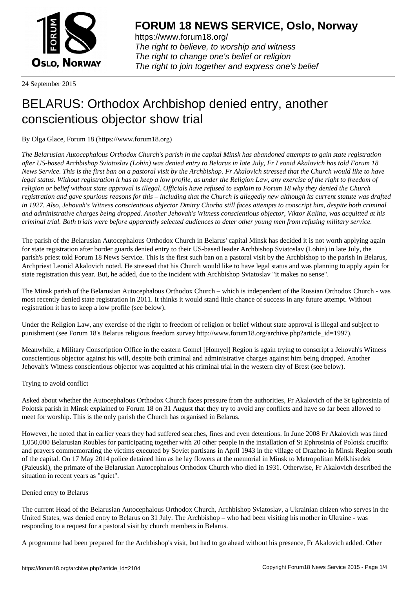

https://www.forum18.org/ The right to believe, to worship and witness The right to change one's belief or religion [The right to join together a](https://www.forum18.org/)nd express one's belief

24 September 2015

## [BELARUS: Orth](https://www.forum18.org)odox Archbishop denied entry, another conscientious objector show trial

By Olga Glace, Forum 18 (https://www.forum18.org)

*The Belarusian Autocephalous Orthodox Church's parish in the capital Minsk has abandoned attempts to gain state registration after US-based Archbishop Sviatoslav (Lohin) was denied entry to Belarus in late July, Fr Leonid Akalovich has told Forum 18 News Service. This is the first ban on a pastoral visit by the Archbishop. Fr Akalovich stressed that the Church would like to have legal status. Without registration it has to keep a low profile, as under the Religion Law, any exercise of the right to freedom of religion or belief without state approval is illegal. Officials have refused to explain to Forum 18 why they denied the Church registration and gave spurious reasons for this – including that the Church is allegedly new although its current statute was drafted in 1927. Also, Jehovah's Witness conscientious objector Dmitry Chorba still faces attempts to conscript him, despite both criminal and administrative charges being dropped. Another Jehovah's Witness conscientious objector, Viktor Kalina, was acquitted at his criminal trial. Both trials were before apparently selected audiences to deter other young men from refusing military service.*

The parish of the Belarusian Autocephalous Orthodox Church in Belarus' capital Minsk has decided it is not worth applying again for state registration after border guards denied entry to their US-based leader Archbishop Sviatoslav (Lohin) in late July, the parish's priest told Forum 18 News Service. This is the first such ban on a pastoral visit by the Archbishop to the parish in Belarus, Archpriest Leonid Akalovich noted. He stressed that his Church would like to have legal status and was planning to apply again for state registration this year. But, he added, due to the incident with Archbishop Sviatoslav "it makes no sense".

The Minsk parish of the Belarusian Autocephalous Orthodox Church – which is independent of the Russian Orthodox Church - was most recently denied state registration in 2011. It thinks it would stand little chance of success in any future attempt. Without registration it has to keep a low profile (see below).

Under the Religion Law, any exercise of the right to freedom of religion or belief without state approval is illegal and subject to punishment (see Forum 18's Belarus religious freedom survey http://www.forum18.org/archive.php?article\_id=1997).

Meanwhile, a Military Conscription Office in the eastern Gomel [Homyel] Region is again trying to conscript a Jehovah's Witness conscientious objector against his will, despite both criminal and administrative charges against him being dropped. Another Jehovah's Witness conscientious objector was acquitted at his criminal trial in the western city of Brest (see below).

## Trying to avoid conflict

Asked about whether the Autocephalous Orthodox Church faces pressure from the authorities, Fr Akalovich of the St Ephrosinia of Polotsk parish in Minsk explained to Forum 18 on 31 August that they try to avoid any conflicts and have so far been allowed to meet for worship. This is the only parish the Church has organised in Belarus.

However, he noted that in earlier years they had suffered searches, fines and even detentions. In June 2008 Fr Akalovich was fined 1,050,000 Belarusian Roubles for participating together with 20 other people in the installation of St Ephrosinia of Polotsk crucifix and prayers commemorating the victims executed by Soviet partisans in April 1943 in the village of Drazhno in Minsk Region south of the capital. On 17 May 2014 police detained him as he lay flowers at the memorial in Minsk to Metropolitan Melkhisedek (Paieuski), the primate of the Belarusian Autocephalous Orthodox Church who died in 1931. Otherwise, Fr Akalovich described the situation in recent years as "quiet".

## Denied entry to Belarus

The current Head of the Belarusian Autocephalous Orthodox Church, Archbishop Sviatoslav, a Ukrainian citizen who serves in the United States, was denied entry to Belarus on 31 July. The Archbishop – who had been visiting his mother in Ukraine - was responding to a request for a pastoral visit by church members in Belarus.

A programme had been prepared for the Archbishop's visit, but had to go ahead without his presence, Fr Akalovich added. Other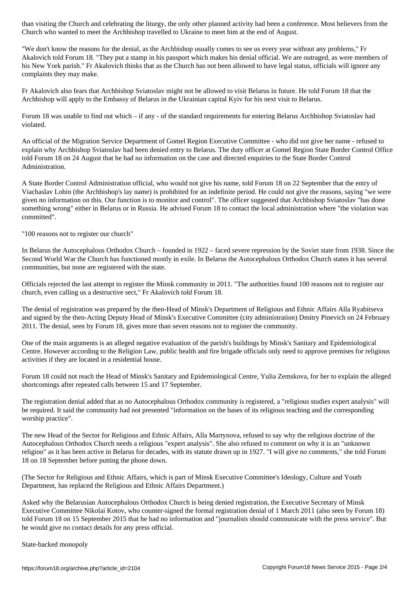"We don't know the reasons for the denial, as the Archbishop usually comes to see us every year without any problems," Fr Akalovich told Forum 18. "They put a stamp in his passport which makes his denial official. We are outraged, as were members of his New York parish." Fr Akalovich thinks that as the Church has not been allowed to have legal status, officials will ignore any complaints they may make.

Fr Akalovich also fears that Archbishop Sviatoslav might not be allowed to visit Belarus in future. He told Forum 18 that the Archbishop will apply to the Embassy of Belarus in the Ukrainian capital Kyiv for his next visit to Belarus.

Church who wanted to meet the Archbishop travelled to Ukraine to meet him at the end of August.

Forum 18 was unable to find out which – if any - of the standard requirements for entering Belarus Archbishop Sviatoslav had violated.

An official of the Migration Service Department of Gomel Region Executive Committee - who did not give her name - refused to explain why Archbishop Sviatoslav had been denied entry to Belarus. The duty officer at Gomel Region State Border Control Office told Forum 18 on 24 August that he had no information on the case and directed enquiries to the State Border Control Administration.

A State Border Control Administration official, who would not give his name, told Forum 18 on 22 September that the entry of Viachaslav Lohin (the Archbishop's lay name) is prohibited for an indefinite period. He could not give the reasons, saying "we were given no information on this. Our function is to monitor and control". The officer suggested that Archbishop Sviatoslav "has done something wrong" either in Belarus or in Russia. He advised Forum 18 to contact the local administration where "the violation was committed".

"100 reasons not to register our church"

In Belarus the Autocephalous Orthodox Church – founded in 1922 – faced severe repression by the Soviet state from 1938. Since the Second World War the Church has functioned mostly in exile. In Belarus the Autocephalous Orthodox Church states it has several communities, but none are registered with the state.

Officials rejected the last attempt to register the Minsk community in 2011. "The authorities found 100 reasons not to register our church, even calling us a destructive sect," Fr Akalovich told Forum 18.

The denial of registration was prepared by the then-Head of Minsk's Department of Religious and Ethnic Affairs Alla Ryabitseva and signed by the then-Acting Deputy Head of Minsk's Executive Committee (city administration) Dmitry Pinevich on 24 February 2011. The denial, seen by Forum 18, gives more than seven reasons not to register the community.

One of the main arguments is an alleged negative evaluation of the parish's buildings by Minsk's Sanitary and Epidemiological Centre. However according to the Religion Law, public health and fire brigade officials only need to approve premises for religious activities if they are located in a residential house.

Forum 18 could not reach the Head of Minsk's Sanitary and Epidemiological Centre, Yulia Zemskova, for her to explain the alleged shortcomings after repeated calls between 15 and 17 September.

The registration denial added that as no Autocephalous Orthodox community is registered, a "religious studies expert analysis" will be required. It said the community had not presented "information on the bases of its religious teaching and the corresponding worship practice".

The new Head of the Sector for Religious and Ethnic Affairs, Alla Martynova, refused to say why the religious doctrine of the Autocephalous Orthodox Church needs a religious "expert analysis". She also refused to comment on why it is an "unknown religion" as it has been active in Belarus for decades, with its statute drawn up in 1927. "I will give no comments," she told Forum 18 on 18 September before putting the phone down.

(The Sector for Religious and Ethnic Affairs, which is part of Minsk Executive Committee's Ideology, Culture and Youth Department, has replaced the Religious and Ethnic Affairs Department.)

Asked why the Belarusian Autocephalous Orthodox Church is being denied registration, the Executive Secretary of Minsk Executive Committee Nikolai Kotov, who counter-signed the formal registration denial of 1 March 2011 (also seen by Forum 18) told Forum 18 on 15 September 2015 that he had no information and "journalists should communicate with the press service". But he would give no contact details for any press official.

State-backed monopoly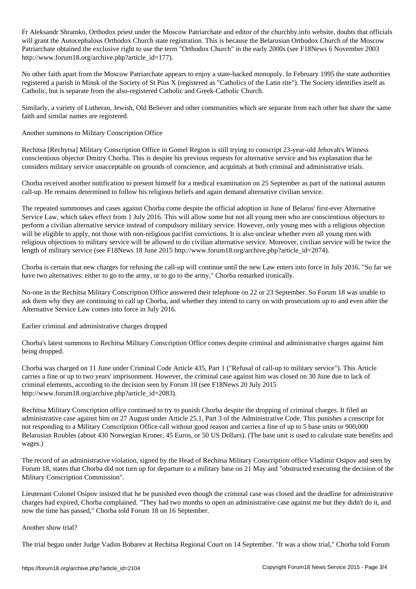Fr Aleksandr Shramko, Orthodox priest under the Moscow Patriarchate and editor of the churchby.info website, doubts that officials will grant the Autocephalous Orthodox Church state registration. This is because the Belarusian Orthodox Church of the Moscow Patriarchate obtained the exclusive right to use the term "Orthodox Church" in the early 2000s (see F18News 6 November 2003 http://www.forum18.org/archive.php?article\_id=177).

No other faith apart from the Moscow Patriarchate appears to enjoy a state-backed monopoly. In February 1995 the state authorities registered a parish in Minsk of the Society of St Pius X (registered as "Catholics of the Latin rite"). The Society identifies itself as Catholic, but is separate from the also-registered Catholic and Greek-Catholic Church.

Similarly, a variety of Lutheran, Jewish, Old Believer and other communities which are separate from each other but share the same faith and similar names are registered.

Another summons to Military Conscription Office

Rechitsa [Rechytsa] Military Conscription Office in Gomel Region is still trying to conscript 23-year-old Jehovah's Witness conscientious objector Dmitry Chorba. This is despite his previous requests for alternative service and his explanation that he considers military service unacceptable on grounds of conscience, and acquittals at both criminal and administrative trials.

Chorba received another notification to present himself for a medical examination on 25 September as part of the national autumn call-up. He remains determined to follow his religious beliefs and again demand alternative civilian service.

The repeated summonses and cases against Chorba come despite the official adoption in June of Belarus' first-ever Alternative Service Law, which takes effect from 1 July 2016. This will allow some but not all young men who are conscientious objectors to perform a civilian alternative service instead of compulsory military service. However, only young men with a religious objection will be eligible to apply, not those with non-religious pacifist convictions. It is also unclear whether even all young men with religious objections to military service will be allowed to do civilian alternative service. Moreover, civilian service will be twice the length of military service (see F18News 18 June 2015 http://www.forum18.org/archive.php?article\_id=2074).

Chorba is certain that new charges for refusing the call-up will continue until the new Law enters into force in July 2016. "So far we have two alternatives: either to go to the army, or to go to the army," Chorba remarked ironically.

No-one in the Rechitsa Military Conscription Office answered their telephone on 22 or 23 September. So Forum 18 was unable to ask them why they are continuing to call up Chorba, and whether they intend to carry on with prosecutions up to and even after the Alternative Service Law comes into force in July 2016.

Earlier criminal and administrative charges dropped

Chorba's latest summons to Rechitsa Military Conscription Office comes despite criminal and administrative charges against him being dropped.

Chorba was charged on 11 June under Criminal Code Article 435, Part 1 ("Refusal of call-up to military service"). This Article carries a fine or up to two years' imprisonment. However, the criminal case against him was closed on 30 June due to lack of criminal elements, according to the decision seen by Forum 18 (see F18News 20 July 2015 http://www.forum18.org/archive.php?article\_id=2083).

Rechitsa Military Conscription office continued to try to punish Chorba despite the dropping of criminal charges. It filed an administrative case against him on 27 August under Article 25.1, Part 3 of the Administrative Code. This punishes a conscript for not responding to a Military Conscription Office call without good reason and carries a fine of up to 5 base units or 900,000 Belarusian Roubles (about 430 Norwegian Kroner, 45 Euros, or 50 US Dollars). (The base unit is used to calculate state benefits and wages.)

The record of an administrative violation, signed by the Head of Rechitsa Military Conscription office Vladimir Osipov and seen by Forum 18, states that Chorba did not turn up for departure to a military base on 21 May and "obstructed executing the decision of the Military Conscription Commission".

Lieutenant Colonel Osipov insisted that he be punished even though the criminal case was closed and the deadline for administrative charges had expired, Chorba complained. "They had two months to open an administrative case against me but they didn't do it, and now the time has passed," Chorba told Forum 18 on 16 September.

Another show trial?

The trial began under Judge Vadim Bobarev at Rechitsa Regional Court on 14 September. "It was a show trial," Chorba told Forum